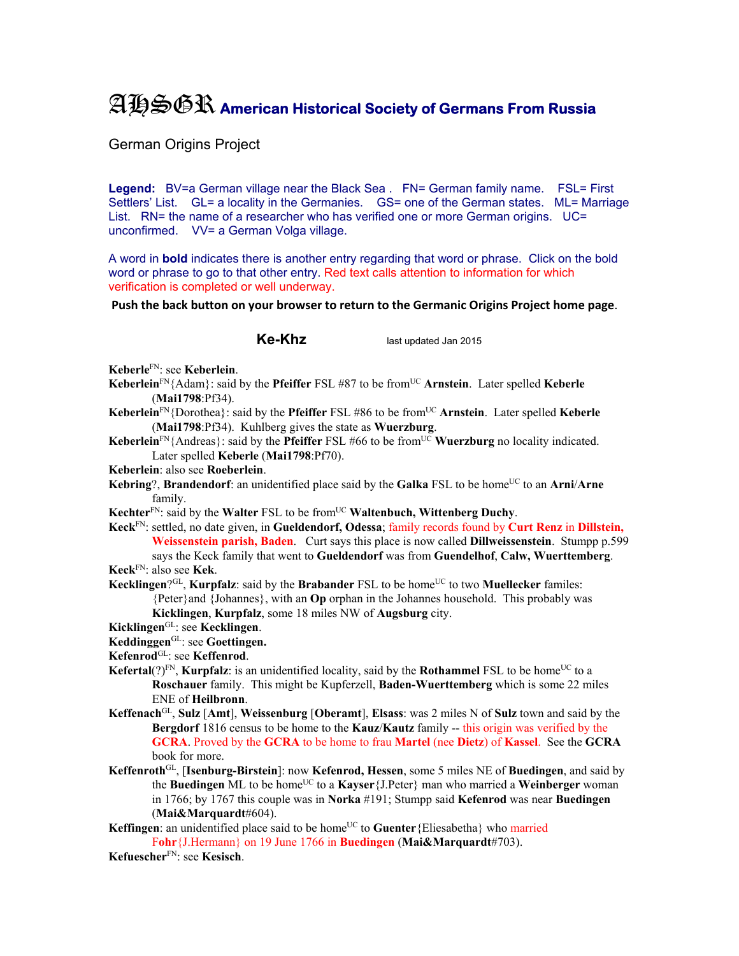## AHSGR **American Historical Society of Germans From Russia**

German Origins Project

Legend: BV=a German village near the Black Sea . FN= German family name. FSL= First Settlers' List. GL= a locality in the Germanies. GS= one of the German states. ML= Marriage List. RN= the name of a researcher who has verified one or more German origins. UC= unconfirmed. VV= a German Volga village.

A word in **bold** indicates there is another entry regarding that word or phrase. Click on the bold word or phrase to go to that other entry. Red text calls attention to information for which verification is completed or well underway.

**Push the back button on your browser to return to the Germanic Origins Project home page**.

**Ke-Khz** last updated Jan 2015

**Keberle**FN: see **Keberlein**.

- **Keberlein**FN{Adam}: said by the **Pfeiffer** FSL #87 to be fromUC **Arnstein**. Later spelled **Keberle**  (**Mai1798**:Pf34).
- **Keberlein**<sup>FN</sup>{Dorothea}: said by the **Pfeiffer** FSL #86 to be from<sup>UC</sup> Arnstein. Later spelled **Keberle** (**Mai1798**:Pf34). Kuhlberg gives the state as **Wuerzburg**.
- **Keberlein**<sup>FN</sup>{Andreas}: said by the **Pfeiffer** FSL #66 to be from<sup>UC</sup> **Wuerzburg** no locality indicated. Later spelled **Keberle** (**Mai1798**:Pf70).
- **Keberlein**: also see **Roeberlein**.
- **Kebring**?, **Brandendorf**: an unidentified place said by the **Galka** FSL to be home<sup>UC</sup> to an **Arni/Arne** family.
- **Kechter**<sup>FN</sup>: said by the **Walter** FSL to be from<sup>UC</sup> **Waltenbuch, Wittenberg Duchy**.
- **Keck**FN: settled, no date given, in **Gueldendorf, Odessa**; family records found by **Curt Renz** in **Dillstein, Weissenstein parish, Baden**. Curt says this place is now called **Dillweissenstein**. Stumpp p.599 says the Keck family that went to **Gueldendorf** was from **Guendelhof**, **Calw, Wuerttemberg**. **Keck**FN: also see **Kek**.
- **Kecklingen**?GL, **Kurpfalz**: said by the **Brabander** FSL to be home<sup>UC</sup> to two **Muellecker** familes: {Peter}and {Johannes}, with an **Op** orphan in the Johannes household. This probably was **Kicklingen**, **Kurpfalz**, some 18 miles NW of **Augsburg** city.

**Kicklingen**GL: see **Kecklingen**.

- **Keddinggen**GL: see **Goettingen.**
- **Kefenrod**GL: see **Keffenrod**.
- **Kefertal**(?)<sup>FN</sup>, **Kurpfalz**: is an unidentified locality, said by the **Rothammel** FSL to be home<sup>UC</sup> to a **Roschauer** family. This might be Kupferzell, **Baden-Wuerttemberg** which is some 22 miles ENE of **Heilbronn**.
- **Keffenach**GL, **Sulz** [**Amt**], **Weissenburg** [**Oberamt**], **Elsass**: was 2 miles N of **Sulz** town and said by the **Bergdorf** 1816 census to be home to the **Kauz**/**Kautz** family -- this origin was verified by the **GCRA**. Proved by the **GCRA** to be home to frau **Martel** (nee **Dietz**) of **Kassel**. See the **GCRA** book for more.
- **Keffenroth**GL, [**Isenburg-Birstein**]: now **Kefenrod, Hessen**, some 5 miles NE of **Buedingen**, and said by the **Buedingen** ML to be home<sup>UC</sup> to a **Kayser** {J.Peter} man who married a **Weinberger** woman in 1766; by 1767 this couple was in **Norka** #191; Stumpp said **Kefenrod** was near **Buedingen** (**Mai&Marquardt**#604).
- **Keffingen**: an unidentified place said to be home<sup>UC</sup> to **Guenter**{Eliesabetha} who married F**ohr**{J.Hermann} on 19 June 1766 in **Buedingen** (**Mai&Marquardt**#703).
- **Kefuescher**FN: see **Kesisch**.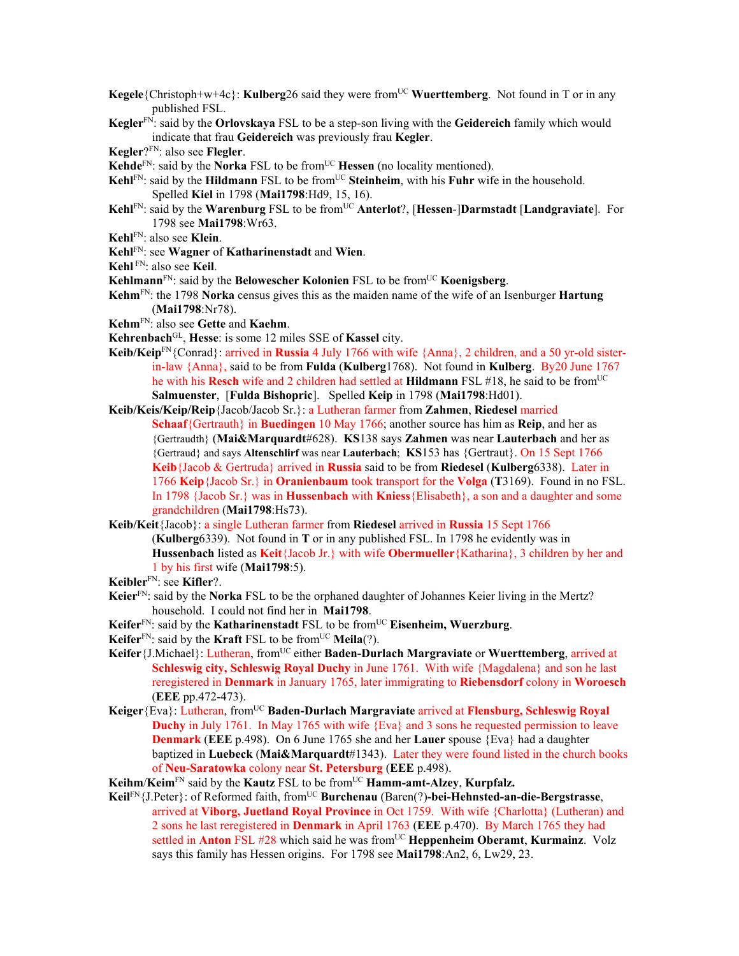- **Kegele**{Christoph+w+4c}: **Kulberg**26 said they were from<sup>UC</sup> **Wuerttemberg**. Not found in T or in any published FSL.
- **Kegler**FN: said by the **Orlovskaya** FSL to be a step-son living with the **Geidereich** family which would indicate that frau **Geidereich** was previously frau **Kegler**.
- **Kegler**?FN: also see **Flegler**.
- **Kehde**<sup>FN</sup>: said by the **Norka** FSL to be from<sup>UC</sup> **Hessen** (no locality mentioned).
- **Kehl**FN: said by the **Hildmann** FSL to be from<sup>UC</sup> Steinheim, with his Fuhr wife in the household. Spelled **Kiel** in 1798 (**Mai1798**:Hd9, 15, 16).
- **Kehl**FN: said by the **Warenburg** FSL to be from<sup>UC</sup> Anterlot?, [Hessen-]Darmstadt [Landgraviate]. For 1798 see **Mai1798**:Wr63.
- **Kehl**FN: also see **Klein**.
- **Kehl**FN: see **Wagner** of **Katharinenstadt** and **Wien**.
- **Kehl** FN: also see **Keil**.
- **Kehlmann**<sup>FN</sup>: said by the **Belowescher Kolonien** FSL to be from<sup>UC</sup> **Koenigsberg**.
- **Kehm**FN: the 1798 **Norka** census gives this as the maiden name of the wife of an Isenburger **Hartung** (**Mai1798**:Nr78).
- **Kehm**FN: also see **Gette** and **Kaehm**.
- **Kehrenbach**GL, **Hesse**: is some 12 miles SSE of **Kassel** city.
- **Keib/Keip**FN{Conrad}: arrived in **Russia** 4 July 1766 with wife {Anna}, 2 children, and a 50 yr-old sisterin-law {Anna}, said to be from **Fulda** (**Kulberg**1768). Not found in **Kulberg**. By20 June 1767 he with his **Resch** wife and 2 children had settled at **Hildmann** FSL #18, he said to be from<sup>UC</sup> **Salmuenster**, [**Fulda Bishopric**]. Spelled **Keip** in 1798 (**Mai1798**:Hd01).
- **Keib/Keis/Keip/Reip**{Jacob/Jacob Sr.}: a Lutheran farmer from **Zahmen**, **Riedesel** married **Schaaf**{Gertrauth} in **Buedingen** 10 May 1766; another source has him as **Reip**, and her as {Gertraudth} (**Mai&Marquardt**#628). **KS**138 says **Zahmen** was near **Lauterbach** and her as {Gertraud} and says **Altenschlirf** was near **Lauterbach**; **KS**153 has {Gertraut}. On 15 Sept 1766 **Keib**{Jacob & Gertruda} arrived in **Russia** said to be from **Riedesel** (**Kulberg**6338). Later in 1766 **Keip**{Jacob Sr.} in **Oranienbaum** took transport for the **Volga** (**T**3169). Found in no FSL. In 1798 {Jacob Sr.} was in **Hussenbach** with **Kniess**{Elisabeth}, a son and a daughter and some grandchildren (**Mai1798**:Hs73).
- **Keib/Keit**{Jacob}: a single Lutheran farmer from **Riedesel** arrived in **Russia** 15 Sept 1766 (**Kulberg**6339). Not found in **T** or in any published FSL. In 1798 he evidently was in **Hussenbach** listed as **Keit**{Jacob Jr.} with wife **Obermueller**{Katharina}, 3 children by her and 1 by his first wife (**Mai1798**:5).
- **Keibler**FN: see **Kifler**?.
- **Keier**FN: said by the **Norka** FSL to be the orphaned daughter of Johannes Keier living in the Mertz? household. I could not find her in **Mai1798**.
- **Keifer**FN: said by the **Katharinenstadt** FSL to be fromUC **Eisenheim, Wuerzburg**.
- **Keifer**<sup>FN</sup>: said by the **Kraft** FSL to be from<sup>UC</sup> **Meila**(?).
- **Keifer**{J.Michael}: Lutheran, fromUC either **Baden-Durlach Margraviate** or **Wuerttemberg**, arrived at **Schleswig city, Schleswig Royal Duchy** in June 1761. With wife {Magdalena} and son he last reregistered in **Denmark** in January 1765, later immigrating to **Riebensdorf** colony in **Woroesch** (**EEE** pp.472-473).
- **Keiger**{Eva}: Lutheran, fromUC **Baden-Durlach Margraviate** arrived at **Flensburg, Schleswig Royal Duchy** in July 1761. In May 1765 with wife {Eva} and 3 sons he requested permission to leave **Denmark** (**EEE** p.498). On 6 June 1765 she and her **Lauer** spouse {Eva} had a daughter baptized in **Luebeck** (**Mai&Marquardt**#1343). Later they were found listed in the church books of **Neu-Saratowka** colony near **St. Petersburg** (**EEE** p.498).
- **Keihm/Keim**<sup>FN</sup> said by the **Kautz** FSL to be from<sup>UC</sup> **Hamm-amt-Alzey**, **Kurpfalz.**
- **Keil**FN{J.Peter}: of Reformed faith, fromUC **Burchenau** (Baren(?)**-bei-Hehnsted-an-die-Bergstrasse**, arrived at **Viborg, Juetland Royal Province** in Oct 1759. With wife {Charlotta} (Lutheran) and 2 sons he last reregistered in **Denmark** in April 1763 (**EEE** p.470). By March 1765 they had settled in **Anton** FSL #28 which said he was fromUC **Heppenheim Oberamt**, **Kurmainz**. Volz says this family has Hessen origins. For 1798 see **Mai1798**:An2, 6, Lw29, 23.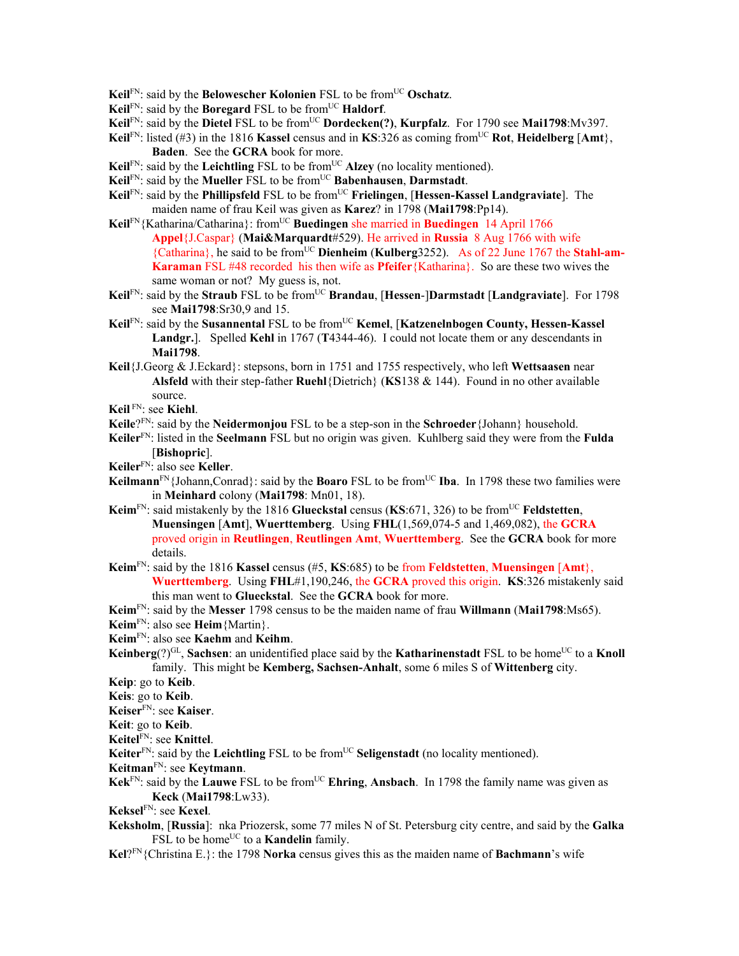- **Keil**FN: said by the **Belowescher Kolonien** FSL to be from<sup>UC</sup> Oschatz.
- **Keil**FN: said by the **Boregard** FSL to be fromUC **Haldorf**.
- **Keil**<sup>FN</sup>: said by the **Dietel** FSL to be from<sup>UC</sup> **Dordecken(?)**, **Kurpfalz**. For 1790 see **Mai1798**:Mv397.
- **Keil**<sup>FN</sup>: listed (#3) in the 1816 **Kassel** census and in **KS**:326 as coming from<sup>UC</sup> **Rot**, **Heidelberg** [Amt}, **Baden**. See the **GCRA** book for more.
- **Keil**FN: said by the **Leichtling** FSL to be from<sup>UC</sup> Alzey (no locality mentioned).
- **Keil**FN: said by the **Mueller** FSL to be from<sup>UC</sup> **Babenhausen**, **Darmstadt**.
- **Keil**FN: said by the **Phillipsfeld** FSL to be from<sup>UC</sup> **Frielingen**, [Hessen-Kassel Landgraviate]. The maiden name of frau Keil was given as **Karez**? in 1798 (**Mai1798**:Pp14).
- Keil<sup>FN</sup>{Katharina/Catharina}: from<sup>UC</sup> Buedingen she married in Buedingen 14 April 1766 **Appel**{J.Caspar} (**Mai&Marquardt**#529). He arrived in **Russia** 8 Aug 1766 with wife {Catharina}, he said to be fromUC **Dienheim** (**Kulberg**3252). As of 22 June 1767 the **Stahl-am-Karaman** FSL #48 recorded his then wife as **Pfeifer**{Katharina}. So are these two wives the same woman or not? My guess is, not.
- **Keil**FN: said by the **Straub** FSL to be from<sup>UC</sup> **Brandau**, [**Hessen-**]Darmstadt [Landgraviate]. For 1798 see **Mai1798**:Sr30,9 and 15.
- **Keil**<sup>FN</sup>: said by the **Susannental** FSL to be from<sup>UC</sup> **Kemel**, [**Katzenelnbogen County, Hessen-Kassel Landgr.**]. Spelled **Kehl** in 1767 (**T**4344-46). I could not locate them or any descendants in **Mai1798**.
- **Keil**{J.Georg & J.Eckard}: stepsons, born in 1751 and 1755 respectively, who left **Wettsaasen** near **Alsfeld** with their step-father **Ruehl**{Dietrich} (**KS**138 & 144). Found in no other available source.
- **Keil** FN: see **Kiehl**.
- **Keile**?FN: said by the **Neidermonjou** FSL to be a step-son in the **Schroeder**{Johann} household.
- **Keiler**FN: listed in the **Seelmann** FSL but no origin was given. Kuhlberg said they were from the **Fulda**  [**Bishopric**].
- **Keiler**FN: also see **Keller**.
- **Keilmann**<sup>FN</sup>{Johann,Conrad}: said by the **Boaro** FSL to be from<sup>UC</sup> **Iba**. In 1798 these two families were in **Meinhard** colony (**Mai1798**: Mn01, 18).
- **Keim**FN: said mistakenly by the 1816 **Glueckstal** census (**KS**:671, 326) to be fromUC **Feldstetten**, **Muensingen** [**Amt**], **Wuerttemberg**. Using **FHL**(1,569,074-5 and 1,469,082), the **GCRA** proved origin in **Reutlingen**, **Reutlingen Amt**, **Wuerttemberg**. See the **GCRA** book for more details.
- **Keim**FN: said by the 1816 **Kassel** census (#5, **KS**:685) to be from **Feldstetten**, **Muensingen** [**Amt**}, **Wuerttemberg**. Using **FHL**#1,190,246, the **GCRA** proved this origin. **KS**:326 mistakenly said this man went to **Glueckstal**. See the **GCRA** book for more.
- **Keim**FN: said by the **Messer** 1798 census to be the maiden name of frau **Willmann** (**Mai1798**:Ms65).
- **Keim**FN: also see **Heim**{Martin}.
- **Keim**FN: also see **Kaehm** and **Keihm**.
- **Keinberg**(?)<sup>GL</sup>, **Sachsen**: an unidentified place said by the **Katharinenstadt** FSL to be home<sup>UC</sup> to a **Knoll** family. This might be **Kemberg, Sachsen-Anhalt**, some 6 miles S of **Wittenberg** city.
- **Keip**: go to **Keib**.
- **Keis**: go to **Keib**.
- **Keiser**FN: see **Kaiser**.
- **Keit**: go to **Keib**.
- **Keitel**FN: see **Knittel**.
- Keiter<sup>FN</sup>: said by the Leichtling FSL to be from<sup>UC</sup> Seligenstadt (no locality mentioned).
- **Keitman**FN: see **Keytmann**.
- **Kek**FN: said by the **Lauwe** FSL to be fromUC **Ehring**, **Ansbach**. In 1798 the family name was given as **Keck** (**Mai1798**:Lw33).
- **Keksel**FN: see **Kexel**.
- **Keksholm**, [**Russia**]: nka Priozersk, some 77 miles N of St. Petersburg city centre, and said by the **Galka** FSL to be home<sup>UC</sup> to a **Kandelin** family.
- **Kel**?FN{Christina E.}: the 1798 **Norka** census gives this as the maiden name of **Bachmann**'s wife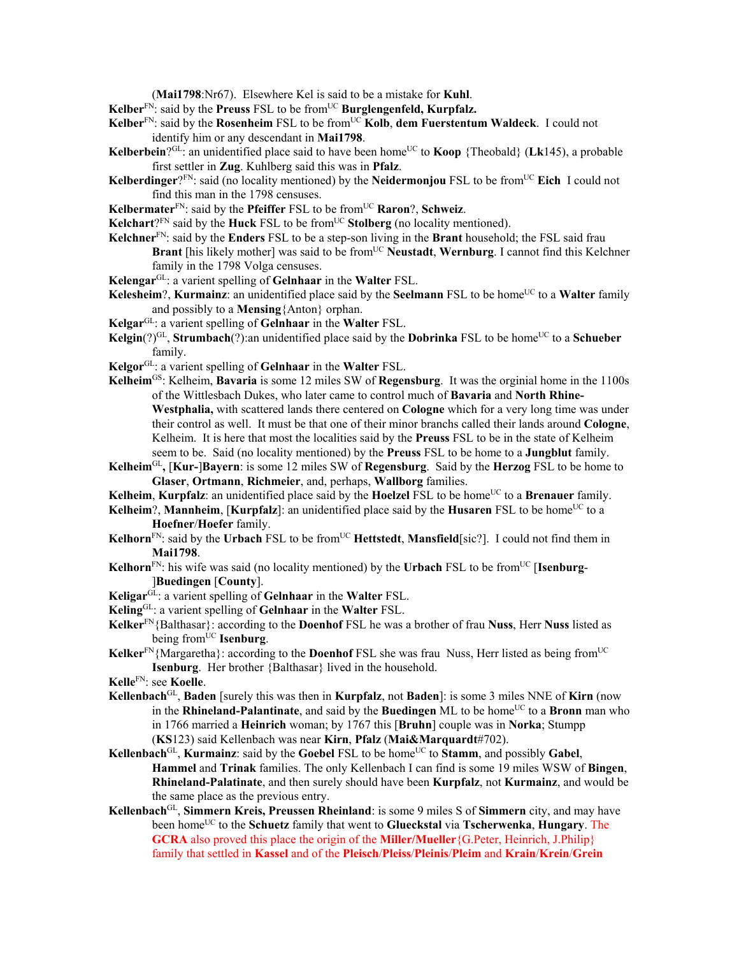(**Mai1798**:Nr67). Elsewhere Kel is said to be a mistake for **Kuhl**.

Kelber<sup>FN</sup>: said by the **Preuss** FSL to be from<sup>UC</sup> Burglengenfeld, Kurpfalz.

- **Kelber**<sup>FN</sup>: said by the **Rosenheim** FSL to be from<sup>UC</sup> **Kolb**, **dem Fuerstentum Waldeck**. I could not identify him or any descendant in **Mai1798**.
- **Kelberbein**?GL: an unidentified place said to have been home<sup>UC</sup> to **Koop** {Theobald} (**Lk**145), a probable first settler in **Zug**. Kuhlberg said this was in **Pfalz**.
- **Kelberdinger**?<sup>FN</sup>: said (no locality mentioned) by the **Neidermonjou** FSL to be from<sup>UC</sup> Eich I could not find this man in the 1798 censuses.
- **Kelbermater**FN: said by the **Pfeiffer** FSL to be fromUC **Raron**?, **Schweiz**.
- **Kelchart**?FN said by the **Huck** FSL to be from<sup>UC</sup> **Stolberg** (no locality mentioned).
- **Kelchner**FN: said by the **Enders** FSL to be a step-son living in the **Brant** household; the FSL said frau **Brant** [his likely mother] was said to be from<sup>UC</sup> **Neustadt**, **Wernburg**. I cannot find this Kelchner family in the 1798 Volga censuses.
- **Kelengar**GL: a varient spelling of **Gelnhaar** in the **Walter** FSL.
- **Kelesheim**?, **Kurmainz**: an unidentified place said by the **Seelmann** FSL to be home<sup>UC</sup> to a **Walter** family and possibly to a **Mensing**{Anton} orphan.
- **Kelgar**GL: a varient spelling of **Gelnhaar** in the **Walter** FSL.
- **Kelgin**(?)<sup>GL</sup>, **Strumbach**(?):an unidentified place said by the **Dobrinka** FSL to be home<sup>UC</sup> to a **Schueber** family.
- **Kelgor**GL: a varient spelling of **Gelnhaar** in the **Walter** FSL.
- **Kelheim**GS: Kelheim, **Bavaria** is some 12 miles SW of **Regensburg**. It was the orginial home in the 1100s of the Wittlesbach Dukes, who later came to control much of **Bavaria** and **North Rhine-Westphalia,** with scattered lands there centered on **Cologne** which for a very long time was under their control as well. It must be that one of their minor branchs called their lands around **Cologne**, Kelheim. It is here that most the localities said by the **Preuss** FSL to be in the state of Kelheim seem to be. Said (no locality mentioned) by the **Preuss** FSL to be home to a **Jungblut** family.
- **Kelheim**GL**,** [**Kur-**]**Bayern**: is some 12 miles SW of **Regensburg**. Said by the **Herzog** FSL to be home to **Glaser**, **Ortmann**, **Richmeier**, and, perhaps, **Wallborg** families.
- **Kelheim**, **Kurpfalz**: an unidentified place said by the **Hoelzel** FSL to be home<sup>UC</sup> to a **Brenauer** family.
- **Kelheim**?, **Mannheim**, [**Kurpfalz**]: an unidentified place said by the **Husaren** FSL to be home<sup>UC</sup> to a **Hoefner**/**Hoefer** family.
- **Kelhorn**<sup>FN</sup>: said by the **Urbach** FSL to be from<sup>UC</sup> **Hettstedt**, **Mansfield**[sic?]. I could not find them in **Mai1798**.
- **Kelhorn**<sup>FN</sup>: his wife was said (no locality mentioned) by the **Urbach** FSL to be from<sup>UC</sup> [**Isenburg**-]**Buedingen** [**County**].
- **Keligar**GL: a varient spelling of **Gelnhaar** in the **Walter** FSL.
- **Keling**GL: a varient spelling of **Gelnhaar** in the **Walter** FSL.
- **Kelker**FN{Balthasar}: according to the **Doenhof** FSL he was a brother of frau **Nuss**, Herr **Nuss** listed as being from<sup>UC</sup> **Isenburg**.
- **Kelker**<sup>FN</sup>{Margaretha}: according to the **Doenhof** FSL she was frau Nuss, Herr listed as being from<sup>UC</sup> **Isenburg**. Her brother {Balthasar} lived in the household.
- **Kelle**FN: see **Koelle**.
- **Kellenbach**GL, **Baden** [surely this was then in **Kurpfalz**, not **Baden**]: is some 3 miles NNE of **Kirn** (now in the **Rhineland-Palantinate**, and said by the **Buedingen** ML to be home<sup>UC</sup> to a **Bronn** man who in 1766 married a **Heinrich** woman; by 1767 this [**Bruhn**] couple was in **Norka**; Stumpp (**KS**123) said Kellenbach was near **Kirn**, **Pfalz** (**Mai&Marquardt**#702).
- **Kellenbach**<sup>GL</sup>, **Kurmainz**: said by the **Goebel** FSL to be home<sup>UC</sup> to **Stamm**, and possibly **Gabel**, **Hammel** and **Trinak** families. The only Kellenbach I can find is some 19 miles WSW of **Bingen**, **Rhineland-Palatinate**, and then surely should have been **Kurpfalz**, not **Kurmainz**, and would be the same place as the previous entry.
- **Kellenbach**GL, **Simmern Kreis, Preussen Rheinland**: is some 9 miles S of **Simmern** city, and may have been homeUC to the **Schuetz** family that went to **Glueckstal** via **Tscherwenka**, **Hungary**. The **GCRA** also proved this place the origin of the **Miller/Mueller**{G.Peter, Heinrich, J.Philip} family that settled in **Kassel** and of the **Pleisch**/**Pleiss**/**Pleinis**/**Pleim** and **Krain**/**Krein**/**Grein**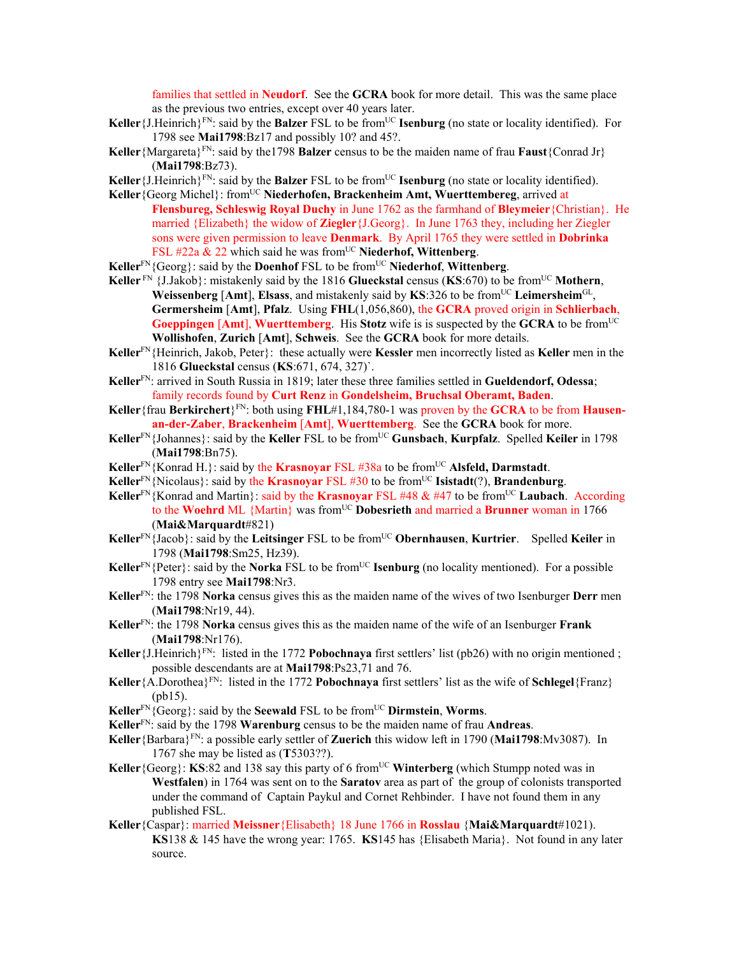families that settled in **Neudorf**. See the **GCRA** book for more detail. This was the same place as the previous two entries, except over 40 years later.

- **Keller** {J.Heinrich}<sup>FN</sup>: said by the **Balzer** FSL to be from<sup>UC</sup> **Isenburg** (no state or locality identified). For 1798 see **Mai1798**:Bz17 and possibly 10? and 45?.
- **Keller**{Margareta}<sup>FN</sup>: said by the1798 **Balzer** census to be the maiden name of frau **Faust**{Conrad Jr} (**Mai1798**:Bz73).

**Keller** {J.Heinrich}<sup>FN</sup>: said by the **Balzer** FSL to be from<sup>UC</sup> **Isenburg** (no state or locality identified).

- **Keller**{Georg Michel}: fromUC **Niederhofen, Brackenheim Amt, Wuerttembereg**, arrived at **Flensbureg, Schleswig Royal Duchy** in June 1762 as the farmhand of **Bleymeier**{Christian}. He married {Elizabeth} the widow of **Ziegler**{J.Georg}. In June 1763 they, including her Ziegler sons were given permission to leave **Denmark**. By April 1765 they were settled in **Dobrinka** FSL #22a & 22 which said he was from<sup>UC</sup> Niederhof, Wittenberg.
- **Keller**FN{Georg}: said by the **Doenhof** FSL to be fromUC **Niederhof**, **Wittenberg**.
- Keller<sup>FN</sup> {J.Jakob}: mistakenly said by the 1816 **Glueckstal** census (KS:670) to be from<sup>UC</sup> Mothern, **Weissenberg** [**Amt**], **Elsass**, and mistakenly said by **KS**:326 to be fromUC **Leimersheim**GL, **Germersheim** [**Amt**], **Pfalz**. Using **FHL**(1,056,860), the **GCRA** proved origin in **Schlierbach**, **Goeppingen** [Amt], **Wuerttemberg**. His **Stotz** wife is is suspected by the **GCRA** to be from<sup>UC</sup> **Wollishofen**, **Zurich** [**Amt**], **Schweis**. See the **GCRA** book for more details.
- **Keller**FN{Heinrich, Jakob, Peter}: these actually were **Kessler** men incorrectly listed as **Keller** men in the 1816 **Glueckstal** census (**KS**:671, 674, 327)`.
- **Keller**FN: arrived in South Russia in 1819; later these three families settled in **Gueldendorf, Odessa**; family records found by **Curt Renz** in **Gondelsheim, Bruchsal Oberamt, Baden**.
- Keller {frau Berkirchert}<sup>FN</sup>: both using FHL#1,184,780-1 was proven by the GCRA to be from Hausen**an-der-Zaber**, **Brackenheim** [**Amt**], **Wuerttemberg**. See the **GCRA** book for more.
- **Keller**<sup>FN</sup>{Johannes}: said by the **Keller** FSL to be from<sup>UC</sup> Gunsbach, **Kurpfalz**. Spelled **Keiler** in 1798 (**Mai1798**:Bn75).
- Keller<sup>FN</sup>{Konrad H.}: said by the **Krasnoyar** FSL #38a to be from<sup>UC</sup> Alsfeld, Darmstadt.
- **Keller**FN{Nicolaus}: said by the **Krasnoyar** FSL #30 to be fromUC **Isistadt**(?), **Brandenburg**.
- **Keller**FN{Konrad and Martin}: said by the **Krasnoyar** FSL #48 & #47 to be fromUC **Laubach**. According to the **Woehrd** ML {Martin} was fromUC **Dobesrieth** and married a **Brunner** woman in 1766 (**Mai&Marquardt**#821)
- **Keller**FN{Jacob}: said by the **Leitsinger** FSL to be fromUC **Obernhausen**, **Kurtrier**. Spelled **Keiler** in 1798 (**Mai1798**:Sm25, Hz39).
- **Keller**<sup>FN</sup>{Peter}: said by the **Norka** FSL to be from<sup>UC</sup> **Isenburg** (no locality mentioned). For a possible 1798 entry see **Mai1798**:Nr3.
- **Keller**FN: the 1798 **Norka** census gives this as the maiden name of the wives of two Isenburger **Derr** men (**Mai1798**:Nr19, 44).
- **Keller**FN: the 1798 **Norka** census gives this as the maiden name of the wife of an Isenburger **Frank** (**Mai1798**:Nr176).
- **Keller** {J.Heinrich}<sup>FN</sup>: listed in the 1772 **Pobochnaya** first settlers' list (pb26) with no origin mentioned; possible descendants are at **Mai1798**:Ps23,71 and 76.
- **Keller**{A.Dorothea}<sup>FN</sup>: listed in the 1772 **Pobochnaya** first settlers' list as the wife of **Schlegel**{Franz} (pb15).
- **Keller**<sup>FN</sup>{Georg}: said by the **Seewald** FSL to be from<sup>UC</sup> **Dirmstein**, **Worms**.
- **Keller**FN: said by the 1798 **Warenburg** census to be the maiden name of frau **Andreas**.

**Keller**{Barbara}FN: a possible early settler of **Zuerich** this widow left in 1790 (**Mai1798**:Mv3087). In 1767 she may be listed as (**T**5303??).

- **Keller** {Georg}: **KS**:82 and 138 say this party of 6 from<sup>UC</sup> **Winterberg** (which Stumpp noted was in **Westfalen**) in 1764 was sent on to the **Saratov** area as part of the group of colonists transported under the command of Captain Paykul and Cornet Rehbinder. I have not found them in any published FSL.
- **Keller**{Caspar}: married **Meissner**{Elisabeth} 18 June 1766 in **Rosslau** {**Mai&Marquardt**#1021). **KS**138 & 145 have the wrong year: 1765. **KS**145 has {Elisabeth Maria}. Not found in any later source.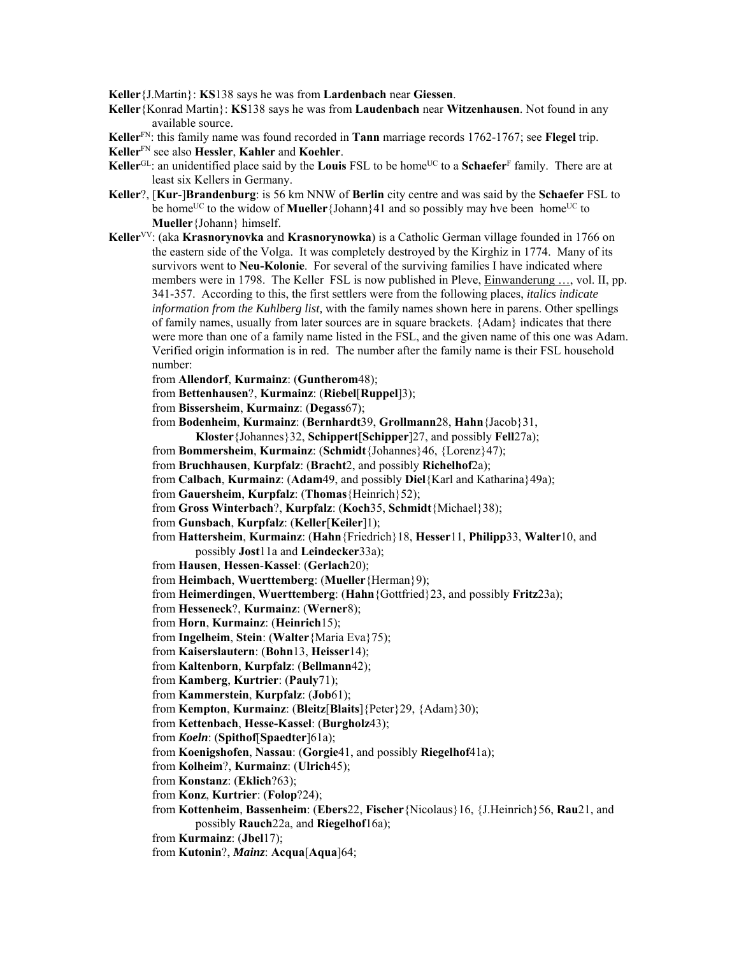**Keller**{J.Martin}: **KS**138 says he was from **Lardenbach** near **Giessen**.

**Keller**{Konrad Martin}: **KS**138 says he was from **Laudenbach** near **Witzenhausen**. Not found in any available source.

**Keller**FN: this family name was found recorded in **Tann** marriage records 1762-1767; see **Flegel** trip.

**Keller**FN see also **Hessler**, **Kahler** and **Koehler**.

- Keller<sup>GL</sup>: an unidentified place said by the **Louis** FSL to be home<sup>UC</sup> to a **Schaefer**<sup>F</sup> family. There are at least six Kellers in Germany.
- **Keller**?, [**Kur**-]**Brandenburg**: is 56 km NNW of **Berlin** city centre and was said by the **Schaefer** FSL to be home<sup>UC</sup> to the widow of **Mueller**{Johann}41 and so possibly may hve been home<sup>UC</sup> to **Mueller**{Johann} himself.
- **Keller**VV: (aka **Krasnorynovka** and **Krasnorynowka**) is a Catholic German village founded in 1766 on the eastern side of the Volga. It was completely destroyed by the Kirghiz in 1774. Many of its survivors went to **Neu-Kolonie**. For several of the surviving families I have indicated where members were in 1798. The Keller FSL is now published in Pleve, Einwanderung …, vol. II, pp. 341-357. According to this, the first settlers were from the following places, *italics indicate information from the Kuhlberg list,* with the family names shown here in parens. Other spellings of family names, usually from later sources are in square brackets. {Adam} indicates that there were more than one of a family name listed in the FSL, and the given name of this one was Adam. Verified origin information is in red. The number after the family name is their FSL household number:

from **Allendorf**, **Kurmainz**: (**Guntherom**48);

from **Bettenhausen**?, **Kurmainz**: (**Riebel**[**Ruppel**]3);

from **Bissersheim**, **Kurmainz**: (**Degass**67);

from **Bodenheim**, **Kurmainz**: (**Bernhardt**39, **Grollmann**28, **Hahn**{Jacob}31,

**Kloster**{Johannes}32, **Schippert**[**Schipper**]27, and possibly **Fell**27a);

from **Bommersheim**, **Kurmainz**: (**Schmidt**{Johannes}46, {Lorenz}47);

from **Bruchhausen**, **Kurpfalz**: (**Bracht**2, and possibly **Richelhof**2a);

from **Calbach**, **Kurmainz**: (**Adam**49, and possibly **Diel**{Karl and Katharina}49a);

- from **Gauersheim**, **Kurpfalz**: (**Thomas**{Heinrich}52);
- from **Gross Winterbach**?, **Kurpfalz**: (**Koch**35, **Schmidt**{Michael}38);

from **Gunsbach**, **Kurpfalz**: (**Keller**[**Keiler**]1);

from **Hattersheim**, **Kurmainz**: (**Hahn**{Friedrich}18, **Hesser**11, **Philipp**33, **Walter**10, and possibly **Jost**11a and **Leindecker**33a);

from **Hausen**, **Hessen**-**Kassel**: (**Gerlach**20);

from **Heimbach**, **Wuerttemberg**: (**Mueller**{Herman}9);

from **Heimerdingen**, **Wuerttemberg**: (**Hahn**{Gottfried}23, and possibly **Fritz**23a);

from **Hesseneck**?, **Kurmainz**: (**Werner**8);

- from **Horn**, **Kurmainz**: (**Heinrich**15);
- from **Ingelheim**, **Stein**: (**Walter**{Maria Eva}75);
- from **Kaiserslautern**: (**Bohn**13, **Heisser**14);

from **Kaltenborn**, **Kurpfalz**: (**Bellmann**42);

from **Kamberg**, **Kurtrier**: (**Pauly**71);

from **Kammerstein**, **Kurpfalz**: (**Job**61);

from **Kempton**, **Kurmainz**: (**Bleitz**[**Blaits**]{Peter}29, {Adam}30);

from **Kettenbach**, **Hesse-Kassel**: (**Burgholz**43);

from *Koeln*: (**Spithof**[**Spaedter**]61a);

from **Koenigshofen**, **Nassau**: (**Gorgie**41, and possibly **Riegelhof**41a);

from **Kolheim**?, **Kurmainz**: (**Ulrich**45);

from **Konstanz**: (**Eklich**?63);

from **Konz**, **Kurtrier**: (**Folop**?24);

from **Kottenheim**, **Bassenheim**: (**Ebers**22, **Fischer**{Nicolaus}16, {J.Heinrich}56, **Rau**21, and possibly **Rauch**22a, and **Riegelhof**16a);

from **Kurmainz**: (**Jbel**17);

from **Kutonin**?, *Mainz*: **Acqua**[**Aqua**]64;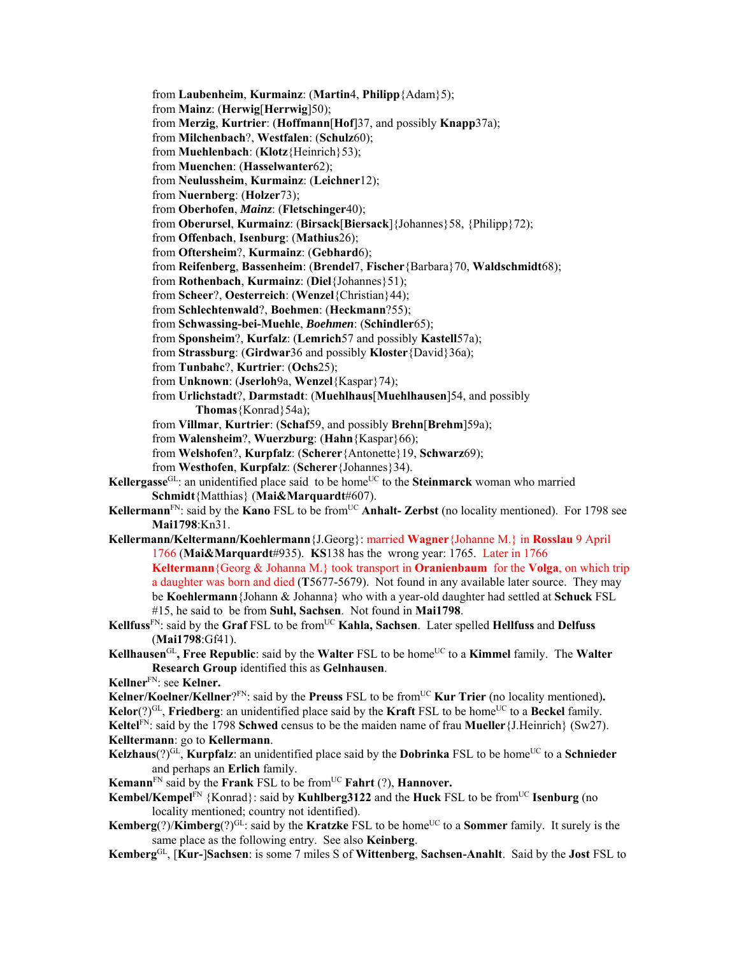from **Laubenheim**, **Kurmainz**: (**Martin**4, **Philipp**{Adam}5); from **Mainz**: (**Herwig**[**Herrwig**]50); from **Merzig**, **Kurtrier**: (**Hoffmann**[**Hof**]37, and possibly **Knapp**37a); from **Milchenbach**?, **Westfalen**: (**Schulz**60); from **Muehlenbach**: (**Klotz**{Heinrich}53); from **Muenchen**: (**Hasselwanter**62); from **Neulussheim**, **Kurmainz**: (**Leichner**12); from **Nuernberg**: (**Holzer**73); from **Oberhofen**, *Mainz*: (**Fletschinger**40); from **Oberursel**, **Kurmainz**: (**Birsack**[**Biersack**]{Johannes}58, {Philipp}72); from **Offenbach**, **Isenburg**: (**Mathius**26); from **Oftersheim**?, **Kurmainz**: (**Gebhard**6); from **Reifenberg**, **Bassenheim**: (**Brendel**7, **Fischer**{Barbara}70, **Waldschmidt**68); from **Rothenbach**, **Kurmainz**: (**Diel**{Johannes}51); from **Scheer**?, **Oesterreich**: (**Wenzel**{Christian}44); from **Schlechtenwald**?, **Boehmen**: (**Heckmann**?55); from **Schwassing-bei-Muehle**, *Boehmen*: (**Schindler**65); from **Sponsheim**?, **Kurfalz**: (**Lemrich**57 and possibly **Kastell**57a); from **Strassburg**: (**Girdwar**36 and possibly **Kloster**{David}36a); from **Tunbahc**?, **Kurtrier**: (**Ochs**25); from **Unknown**: (**Jserloh**9a, **Wenzel**{Kaspar}74); from **Urlichstadt**?, **Darmstadt**: (**Muehlhaus**[**Muehlhausen**]54, and possibly **Thomas**{Konrad}54a); from **Villmar**, **Kurtrier**: (**Schaf**59, and possibly **Brehn**[**Brehm**]59a); from **Walensheim**?, **Wuerzburg**: (**Hahn**{Kaspar}66); from **Welshofen**?, **Kurpfalz**: (**Scherer**{Antonette}19, **Schwarz**69); from **Westhofen**, **Kurpfalz**: (**Scherer**{Johannes}34). **Kellergasse**<sup>GL</sup>: an unidentified place said to be home<sup>UC</sup> to the **Steinmarck** woman who married **Schmidt**{Matthias} (**Mai&Marquardt**#607). **Kellermann**<sup>FN</sup>: said by the **Kano** FSL to be from<sup>UC</sup> **Anhalt- Zerbst** (no locality mentioned). For 1798 see **Mai1798**:Kn31. **Kellermann/Keltermann/Koehlermann**{J.Georg}: married **Wagner**{Johanne M.} in **Rosslau** 9 April 1766 (**Mai&Marquardt**#935). **KS**138 has the wrong year: 1765. Later in 1766 **Keltermann**{Georg & Johanna M.} took transport in **Oranienbaum** for the **Volga**, on which trip a daughter was born and died (**T**5677-5679). Not found in any available later source. They may be **Koehlermann**{Johann & Johanna} who with a year-old daughter had settled at **Schuck** FSL #15, he said to be from **Suhl, Sachsen**. Not found in **Mai1798**. Kellfuss<sup>FN</sup>: said by the Graf FSL to be from<sup>UC</sup> Kahla, Sachsen. Later spelled **Hellfuss** and **Delfuss** (**Mai1798**:Gf41). **Kellhausen**<sup>GL</sup>, Free Republic: said by the Walter FSL to be home<sup>UC</sup> to a Kimmel family. The Walter **Research Group** identified this as **Gelnhausen**. **Kellner**FN: see **Kelner. Kelner/Koelner/Kellner**?<sup>FN</sup>: said by the **Preuss** FSL to be from<sup>UC</sup> **Kur Trier** (no locality mentioned).  $Kelor(?)<sup>GL</sup>$ , **Friedberg**: an unidentified place said by the **Kraft** FSL to be home<sup>UC</sup> to a **Beckel** family. **Keltel**FN: said by the 1798 **Schwed** census to be the maiden name of frau **Mueller**{J.Heinrich} (Sw27). **Kelltermann**: go to **Kellermann**. **Kelzhaus** $(?)^{GL}$ , **Kurpfalz**: an unidentified place said by the **Dobrinka** FSL to be home<sup>UC</sup> to a **Schnieder** and perhaps an **Erlich** family. **Kemann**FN said by the **Frank** FSL to be fromUC **Fahrt** (?), **Hannover. Kembel/Kempel**<sup>FN</sup> {Konrad}: said by **Kuhlberg3122** and the **Huck** FSL to be from<sup>UC</sup> **Isenburg** (no locality mentioned; country not identified). **Kemberg** $(?)$ /**Kimberg** $(?)$ <sup>GL:</sup> said by the **Kratzke** FSL to be home<sup>UC</sup> to a **Sommer** family. It surely is the same place as the following entry. See also **Keinberg**.

**Kemberg**GL, [**Kur-**]**Sachsen**: is some 7 miles S of **Wittenberg**, **Sachsen-Anahlt**. Said by the **Jost** FSL to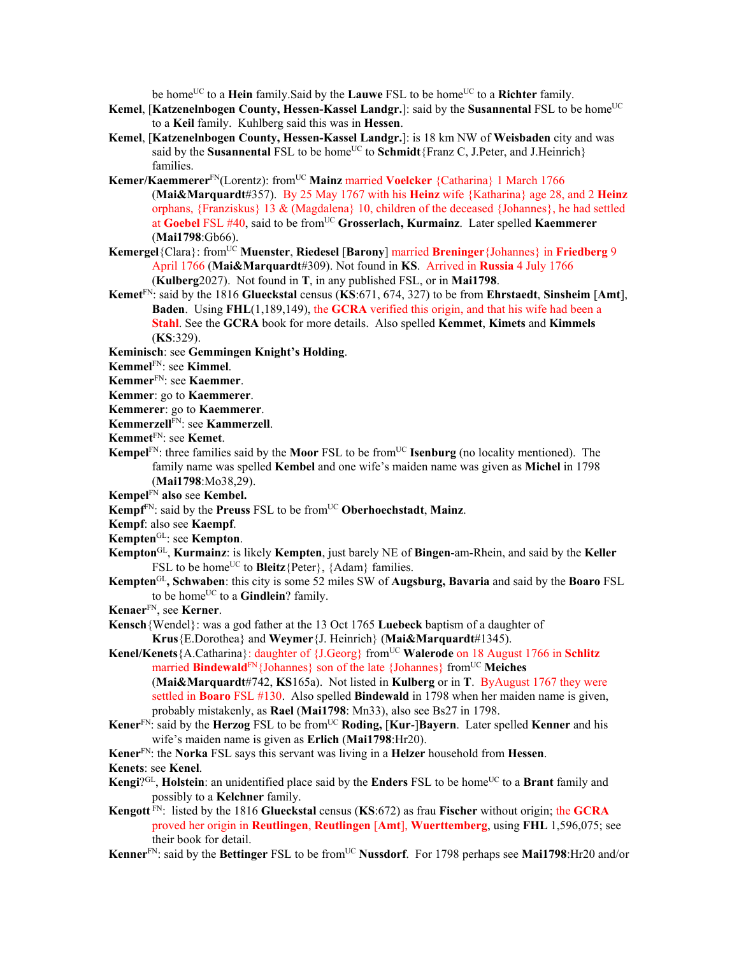be home<sup>UC</sup> to a **Hein** family. Said by the **Lauwe** FSL to be home<sup>UC</sup> to a **Richter** family.

- Kemel, [Katzenelnbogen County, Hessen-Kassel Landgr.]: said by the Susannental FSL to be home<sup>UC</sup> to a **Keil** family. Kuhlberg said this was in **Hessen**.
- **Kemel**, [**Katzenelnbogen County, Hessen-Kassel Landgr.**]: is 18 km NW of **Weisbaden** city and was said by the **Susannental** FSL to be home<sup>UC</sup> to **Schmidt**{Franz C, J.Peter, and J.Heinrich} families.
- Kemer/Kaemmerer<sup>FN</sup>(Lorentz): from<sup>UC</sup> Mainz married Voelcker {Catharina} 1 March 1766 (**Mai&Marquardt**#357). By 25 May 1767 with his **Heinz** wife {Katharina} age 28, and 2 **Heinz** orphans, {Franziskus} 13 & (Magdalena} 10, children of the deceased {Johannes}, he had settled at **Goebel** FSL #40, said to be fromUC **Grosserlach, Kurmainz**. Later spelled **Kaemmerer** (**Mai1798**:Gb66).
- **Kemergel**{Clara}: fromUC **Muenster**, **Riedesel** [**Barony**] married **Breninger**{Johannes} in **Friedberg** 9 April 1766 (**Mai&Marquardt**#309). Not found in **KS**. Arrived in **Russia** 4 July 1766 (**Kulberg**2027). Not found in **T**, in any published FSL, or in **Mai1798**.
- **Kemet**FN: said by the 1816 **Glueckstal** census (**KS**:671, 674, 327) to be from **Ehrstaedt**, **Sinsheim** [**Amt**], **Baden**. Using **FHL**(1,189,149), the **GCRA** verified this origin, and that his wife had been a **Stahl**. See the **GCRA** book for more details. Also spelled **Kemmet**, **Kimets** and **Kimmels**  (**KS**:329).
- **Keminisch**: see **Gemmingen Knight's Holding**.
- **Kemmel**FN: see **Kimmel**.
- **Kemmer**FN: see **Kaemmer**.
- **Kemmer**: go to **Kaemmerer**.
- **Kemmerer**: go to **Kaemmerer**.
- **Kemmerzell**FN: see **Kammerzell**.
- **Kemmet**FN: see **Kemet**.
- **Kempel**<sup>FN</sup>: three families said by the **Moor** FSL to be from<sup>UC</sup> **Isenburg** (no locality mentioned). The family name was spelled **Kembel** and one wife's maiden name was given as **Michel** in 1798 (**Mai1798**:Mo38,29).
- **Kempel**FN **also** see **Kembel.**
- **Kempf**FN: said by the **Preuss** FSL to be fromUC **Oberhoechstadt**, **Mainz**.
- **Kempf**: also see **Kaempf**.
- **Kempten**GL: see **Kempton**.
- **Kempton**GL, **Kurmainz**: is likely **Kempten**, just barely NE of **Bingen**-am-Rhein, and said by the **Keller** FSL to be home<sup>UC</sup> to **Bleitz** ${Peter}$ ,  ${Adam}$  families.
- **Kempten**GL**, Schwaben**: this city is some 52 miles SW of **Augsburg, Bavaria** and said by the **Boaro** FSL to be home<sup>UC</sup> to a **Gindlein**? family.
- **Kenaer**FN, see **Kerner**.
- **Kensch**{Wendel}: was a god father at the 13 Oct 1765 **Luebeck** baptism of a daughter of **Krus**{E.Dorothea} and **Weymer**{J. Heinrich} (**Mai&Marquardt**#1345).
- **Kenel/Kenets**{A.Catharina}: daughter of {J.Georg} from<sup>UC</sup> **Walerode** on 18 August 1766 in **Schlitz** married **Bindewald**<sup>FN</sup>{Johannes} son of the late {Johannes} from<sup>UC</sup> Meiches
	- (**Mai&Marquardt**#742, **KS**165a). Not listed in **Kulberg** or in **T**. ByAugust 1767 they were settled in **Boaro** FSL #130. Also spelled **Bindewald** in 1798 when her maiden name is given, probably mistakenly, as **Rael** (**Mai1798**: Mn33), also see Bs27 in 1798.
- **Kener**FN: said by the **Herzog** FSL to be fromUC **Roding,** [**Kur**-]**Bayern**. Later spelled **Kenner** and his wife's maiden name is given as **Erlich** (**Mai1798**:Hr20).

**Kener**FN: the **Norka** FSL says this servant was living in a **Helzer** household from **Hessen**.

- **Kenets**: see **Kenel**.
- Kengi?<sup>GL</sup>, Holstein: an unidentified place said by the Enders FSL to be home<sup>UC</sup> to a Brant family and possibly to a **Kelchner** family.
- **Kengott** FN: listed by the 1816 **Glueckstal** census (**KS**:672) as frau **Fischer** without origin; the **GCRA** proved her origin in **Reutlingen**, **Reutlingen** [**Amt**], **Wuerttemberg**, using **FHL** 1,596,075; see their book for detail.
- Kenner<sup>FN</sup>: said by the Bettinger FSL to be from<sup>UC</sup> Nussdorf. For 1798 perhaps see Mai1798:Hr20 and/or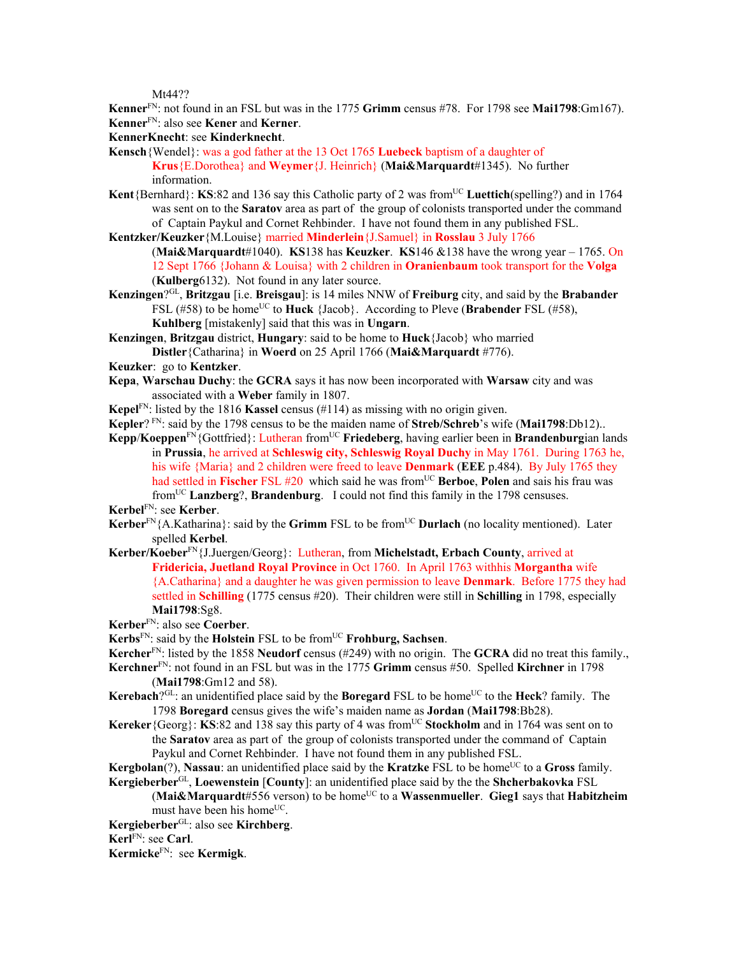Mt44??

**Kenner**FN: not found in an FSL but was in the 1775 **Grimm** census #78. For 1798 see **Mai1798**:Gm167). **Kenner**FN: also see **Kener** and **Kerner**.

**KennerKnecht**: see **Kinderknecht**.

**Kensch**{Wendel}: was a god father at the 13 Oct 1765 **Luebeck** baptism of a daughter of **Krus**{E.Dorothea} and **Weymer**{J. Heinrich} (**Mai&Marquardt**#1345). No further information.

- Kent{Bernhard}: KS:82 and 136 say this Catholic party of 2 was from<sup>UC</sup> Luettich(spelling?) and in 1764 was sent on to the **Saratov** area as part of the group of colonists transported under the command of Captain Paykul and Cornet Rehbinder. I have not found them in any published FSL.
- **Kentzker/Keuzker**{M.Louise} married **Minderlein**{J.Samuel} in **Rosslau** 3 July 1766
	- (**Mai&Marquardt**#1040). **KS**138 has **Keuzker**. **KS**146 &138 have the wrong year 1765. On 12 Sept 1766 {Johann & Louisa} with 2 children in **Oranienbaum** took transport for the **Volga**  (**Kulberg**6132). Not found in any later source.
- **Kenzingen**?GL, **Britzgau** [i.e. **Breisgau**]: is 14 miles NNW of **Freiburg** city, and said by the **Brabander** FSL (#58) to be home<sup>UC</sup> to **Huck** {Jacob}. According to Pleve (**Brabender** FSL (#58), **Kuhlberg** [mistakenly] said that this was in **Ungarn**.
- **Kenzingen**, **Britzgau** district, **Hungary**: said to be home to **Huck**{Jacob} who married **Distler**{Catharina} in **Woerd** on 25 April 1766 (**Mai&Marquardt** #776).
- **Keuzker**: go to **Kentzker**.
- **Kepa**, **Warschau Duchy**: the **GCRA** says it has now been incorporated with **Warsaw** city and was associated with a **Weber** family in 1807.
- **Kepel**FN: listed by the 1816 **Kassel** census (#114) as missing with no origin given.
- **Kepler**? FN: said by the 1798 census to be the maiden name of **Streb/Schreb**'s wife (**Mai1798**:Db12)..
- **Kepp**/**Koeppen**FN{Gottfried}: Lutheran fromUC **Friedeberg**, having earlier been in **Brandenburg**ian lands in **Prussia**, he arrived at **Schleswig city, Schleswig Royal Duchy** in May 1761. During 1763 he, his wife {Maria} and 2 children were freed to leave **Denmark** (**EEE** p.484). By July 1765 they had settled in **Fischer** FSL #20 which said he was from<sup>UC</sup> **Berboe. Polen** and sais his frau was fromUC **Lanzberg**?, **Brandenburg**. I could not find this family in the 1798 censuses.

**Kerbel**FN: see **Kerber**.

- **Kerber**<sup>FN</sup>{A.Katharina}: said by the **Grimm** FSL to be from<sup>UC</sup> **Durlach** (no locality mentioned). Later spelled **Kerbel**.
- **Kerber/Koeber**FN{J.Juergen/Georg}: Lutheran, from **Michelstadt, Erbach County**, arrived at **Fridericia, Juetland Royal Province** in Oct 1760. In April 1763 withhis **Morgantha** wife {A.Catharina} and a daughter he was given permission to leave **Denmark**. Before 1775 they had settled in **Schilling** (1775 census #20). Their children were still in **Schilling** in 1798, especially **Mai1798**:Sg8.

**Kerber**FN: also see **Coerber**.

- **Kerbs**FN: said by the **Holstein** FSL to be fromUC **Frohburg, Sachsen**.
- **Kercher**FN: listed by the 1858 **Neudorf** census (#249) with no origin. The **GCRA** did no treat this family.,
- **Kerchner**FN: not found in an FSL but was in the 1775 **Grimm** census #50. Spelled **Kirchner** in 1798 (**Mai1798**:Gm12 and 58).
- **Kerebach**?<sup>GL</sup>: an unidentified place said by the **Boregard** FSL to be home<sup>UC</sup> to the **Heck**? family. The 1798 **Boregard** census gives the wife's maiden name as **Jordan** (**Mai1798**:Bb28).
- **Kereker**{Georg}: **KS**:82 and 138 say this party of 4 was from<sup>UC</sup> **Stockholm** and in 1764 was sent on to the **Saratov** area as part of the group of colonists transported under the command of Captain Paykul and Cornet Rehbinder. I have not found them in any published FSL.
- **Kergbolan**(?), **Nassau**: an unidentified place said by the **Kratzke** FSL to be home<sup>UC</sup> to a **Gross** family.
- **Kergieberber**GL, **Loewenstein** [**County**]: an unidentified place said by the the **Shcherbakovka** FSL

(Mai&Marquardt#556 verson) to be home<sup>UC</sup> to a Wassenmueller. Gieg1 says that Habitzheim must have been his home<sup>UC</sup>.

**Kergieberber**GL: also see **Kirchberg**.

**Kerl**FN: see **Carl**.

**Kermicke**FN: see **Kermigk**.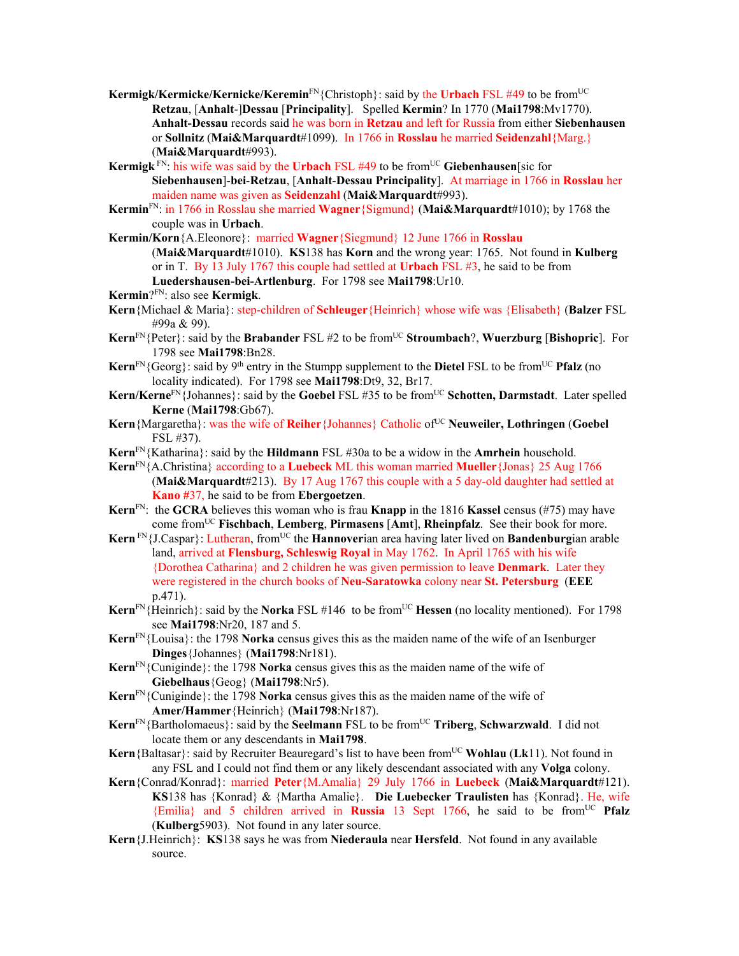- Kermigk/Kermicke/Kernicke/Keremin<sup>FN</sup>{Christoph}: said by the Urbach FSL #49 to be from<sup>UC</sup> **Retzau**, [**Anhalt**-]**Dessau** [**Principality**]. Spelled **Kermin**? In 1770 (**Mai1798**:Mv1770). **Anhalt-Dessau** records said he was born in **Retzau** and left for Russia from either **Siebenhausen**  or **Sollnitz** (**Mai&Marquardt**#1099). In 1766 in **Rosslau** he married **Seidenzahl**{Marg.} (**Mai&Marquardt**#993).
- **Kermigk** FN: his wife was said by the **Urbach** FSL #49 to be fromUC **Giebenhausen**[sic for **Siebenhausen**]-**bei**-**Retzau**, [**Anhalt**-**Dessau Principality**]. At marriage in 1766 in **Rosslau** her maiden name was given as **Seidenzahl** (**Mai&Marquardt**#993).
- **Kermin**FN: in 1766 in Rosslau she married **Wagner**{Sigmund} (**Mai&Marquardt**#1010); by 1768 the couple was in **Urbach**.
- **Kermin/Korn**{A.Eleonore}: married **Wagner**{Siegmund} 12 June 1766 in **Rosslau**  (**Mai&Marquardt**#1010). **KS**138 has **Korn** and the wrong year: 1765. Not found in **Kulberg**  or in T. By 13 July 1767 this couple had settled at **Urbach** FSL #3, he said to be from **Luedershausen-bei-Artlenburg**. For 1798 see **Mai1798**:Ur10.
- **Kermin**?FN: also see **Kermigk**.
- **Kern**{Michael & Maria}: step-children of **Schleuger**{Heinrich} whose wife was {Elisabeth} (**Balzer** FSL #99a & 99).
- **Kern**<sup>FN</sup>{Peter}: said by the **Brabander** FSL #2 to be from<sup>UC</sup> **Stroumbach**?, **Wuerzburg** [Bishopric]. For 1798 see **Mai1798**:Bn28.
- **Kern**<sup>FN</sup>{Georg}: said by 9<sup>th</sup> entry in the Stumpp supplement to the **Dietel** FSL to be from<sup>UC</sup> **Pfalz** (no locality indicated). For 1798 see **Mai1798**:Dt9, 32, Br17.
- **Kern/Kerne**FN{Johannes}: said by the **Goebel** FSL #35 to be fromUC **Schotten, Darmstadt**. Later spelled **Kerne** (**Mai1798**:Gb67).
- Kern {Margaretha}: was the wife of **Reiher** {Johannes} Catholic of<sup>UC</sup> Neuweiler, Lothringen (Goebel FSL #37).
- **Kern**FN{Katharina}: said by the **Hildmann** FSL #30a to be a widow in the **Amrhein** household.
- **Kern**FN{A.Christina} according to a **Luebeck** ML this woman married **Mueller**{Jonas} 25 Aug 1766 (**Mai&Marquardt**#213). By 17 Aug 1767 this couple with a 5 day-old daughter had settled at **Kano #**37, he said to be from **Ebergoetzen**.
- **Kern**FN: the **GCRA** believes this woman who is frau **Knapp** in the 1816 **Kassel** census (#75) may have come fromUC **Fischbach**, **Lemberg**, **Pirmasens** [**Amt**], **Rheinpfalz**. See their book for more.
- Kern<sup>FN</sup>{J.Caspar}: Lutheran, from<sup>UC</sup> the **Hannoverian area having later lived on Bandenburgian arable** land, arrived at **Flensburg, Schleswig Royal** in May 1762. In April 1765 with his wife {Dorothea Catharina} and 2 children he was given permission to leave **Denmark**. Later they were registered in the church books of **Neu-Saratowka** colony near **St. Petersburg** (**EEE** p.471).
- **Kern**<sup>FN</sup>{Heinrich}: said by the **Norka** FSL #146 to be from<sup>UC</sup> **Hessen** (no locality mentioned). For 1798 see **Mai1798**:Nr20, 187 and 5.
- **Kern**FN{Louisa}: the 1798 **Norka** census gives this as the maiden name of the wife of an Isenburger **Dinges**{Johannes} (**Mai1798**:Nr181).
- **Kern**FN{Cuniginde}: the 1798 **Norka** census gives this as the maiden name of the wife of **Giebelhaus**{Geog} (**Mai1798**:Nr5).
- **Kern**FN{Cuniginde}: the 1798 **Norka** census gives this as the maiden name of the wife of **Amer/Hammer**{Heinrich} (**Mai1798**:Nr187).
- **Kern**<sup>FN</sup>{Bartholomaeus}: said by the **Seelmann** FSL to be from<sup>UC</sup> **Triberg**, **Schwarzwald**. I did not locate them or any descendants in **Mai1798**.
- **Kern** {Baltasar}: said by Recruiter Beauregard's list to have been from<sup>UC</sup> **Wohlau** (Lk11). Not found in any FSL and I could not find them or any likely descendant associated with any **Volga** colony.
- **Kern**{Conrad/Konrad}: married **Peter**{M.Amalia} 29 July 1766 in **Luebeck** (**Mai&Marquardt**#121). **KS**138 has {Konrad} & {Martha Amalie}. **Die Luebecker Traulisten** has {Konrad}. He, wife {Emilia} and 5 children arrived in **Russia** 13 Sept 1766, he said to be fromUC **Pfalz** (**Kulberg**5903). Not found in any later source.
- **Kern**{J.Heinrich}: **KS**138 says he was from **Niederaula** near **Hersfeld**. Not found in any available source.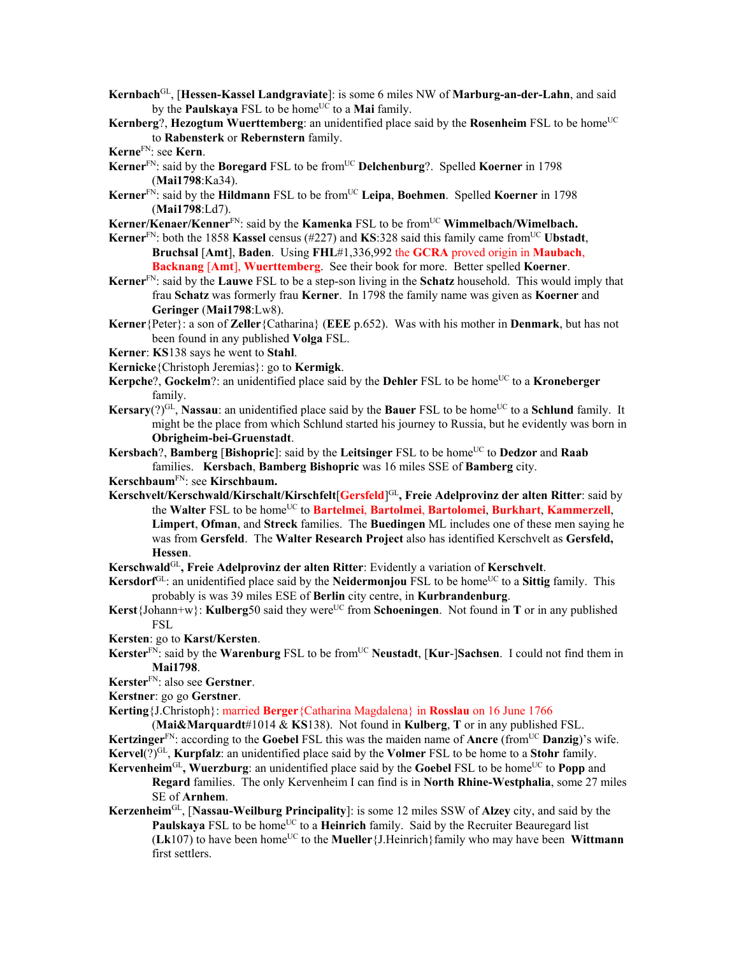**Kernbach**GL, [**Hessen-Kassel Landgraviate**]: is some 6 miles NW of **Marburg-an-der-Lahn**, and said by the **Paulskaya** FSL to be home<sup>UC</sup> to a **Mai** family.

**Kernberg**?, **Hezogtum Wuerttemberg**: an unidentified place said by the **Rosenheim** FSL to be home<sup>UC</sup> to **Rabensterk** or **Rebernstern** family.

- Kerner<sup>FN</sup>: said by the **Boregard** FSL to be from<sup>UC</sup> Delchenburg?. Spelled Koerner in 1798 (**Mai1798**:Ka34).
- **Kerner**<sup>FN</sup>: said by the **Hildmann** FSL to be from<sup>UC</sup> Leipa, Boehmen. Spelled **Koerner** in 1798 (**Mai1798**:Ld7).
- **Kerner/Kenaer/Kenner**<sup>FN</sup>: said by the **Kamenka** FSL to be from<sup>UC</sup> Wimmelbach/Wimelbach.
- **Kerner**FN: both the 1858 **Kassel** census (#227) and **KS**:328 said this family came fromUC **Ubstadt**, **Bruchsal** [**Amt**], **Baden**. Using **FHL**#1,336,992 the **GCRA** proved origin in **Maubach**, **Backnang** [**Amt**], **Wuerttemberg**. See their book for more. Better spelled **Koerner**.
- **Kerner**FN: said by the **Lauwe** FSL to be a step-son living in the **Schatz** household. This would imply that frau **Schatz** was formerly frau **Kerner**. In 1798 the family name was given as **Koerner** and **Geringer** (**Mai1798**:Lw8).
- **Kerner**{Peter}: a son of **Zeller**{Catharina} (**EEE** p.652). Was with his mother in **Denmark**, but has not been found in any published **Volga** FSL.
- **Kerner**: **KS**138 says he went to **Stahl**.
- **Kernicke**{Christoph Jeremias}: go to **Kermigk**.
- **Kerpche**?, **Gockelm**?: an unidentified place said by the **Dehler** FSL to be home<sup>UC</sup> to a **Kroneberger** family.
- **Kersary**(?)<sup>GL</sup>, **Nassau**: an unidentified place said by the **Bauer** FSL to be home<sup>UC</sup> to a **Schlund** family. It might be the place from which Schlund started his journey to Russia, but he evidently was born in **Obrigheim-bei-Gruenstadt**.
- **Kersbach**?, **Bamberg** [Bishopric]: said by the Leitsinger FSL to be home<sup>UC</sup> to Dedzor and Raab families. **Kersbach**, **Bamberg Bishopric** was 16 miles SSE of **Bamberg** city.

**Kerschbaum**FN: see **Kirschbaum.** 

- **Kerschvelt/Kerschwald/Kirschalt/Kirschfelt**[**Gersfeld**] GL**, Freie Adelprovinz der alten Ritter**: said by the **Walter** FSL to be homeUC to **Bartelmei**, **Bartolmei**, **Bartolomei**, **Burkhart**, **Kammerzell**, **Limpert**, **Ofman**, and **Streck** families. The **Buedingen** ML includes one of these men saying he was from **Gersfeld**. The **Walter Research Project** also has identified Kerschvelt as **Gersfeld, Hessen**.
- **Kerschwald**GL**, Freie Adelprovinz der alten Ritter**: Evidently a variation of **Kerschvelt**.
- **Kersdorf**<sup>GL</sup>: an unidentified place said by the **Neidermonjou** FSL to be home<sup>UC</sup> to a **Sittig** family. This probably is was 39 miles ESE of **Berlin** city centre, in **Kurbrandenburg**.
- Kerst {Johann+w}: Kulberg50 said they were<sup>UC</sup> from Schoeningen. Not found in T or in any published FSL
- **Kersten**: go to **Karst/Kersten**.
- **Kerster**<sup>FN:</sup> said by the **Warenburg** FSL to be from<sup>UC</sup> **Neustadt**, [**Kur-**]Sachsen. I could not find them in **Mai1798**.
- **Kerster**FN: also see **Gerstner**.
- **Kerstner**: go go **Gerstner**.
- **Kerting**{J.Christoph}: married **Berger**{Catharina Magdalena} in **Rosslau** on 16 June 1766

(**Mai&Marquardt**#1014 & **KS**138). Not found in **Kulberg**, **T** or in any published FSL. **Kertzinger**<sup>FN</sup>: according to the **Goebel** FSL this was the maiden name of **Ancre** (from<sup>UC</sup> **Danzig**)'s wife. **Kervel**(?)GL, **Kurpfalz**: an unidentified place said by the **Volmer** FSL to be home to a **Stohr** family.

- **Kervenheim**<sup>GL</sup>, Wuerzburg: an unidentified place said by the **Goebel** FSL to be home<sup>UC</sup> to **Popp** and **Regard** families. The only Kervenheim I can find is in **North Rhine-Westphalia**, some 27 miles SE of **Arnhem**.
- **Kerzenheim**GL, [**Nassau-Weilburg Principality**]: is some 12 miles SSW of **Alzey** city, and said by the **Paulskaya** FSL to be home<sup>UC</sup> to a **Heinrich** family. Said by the Recruiter Beauregard list (**Lk**107) to have been homeUC to the **Mueller**{J.Heinrich}family who may have been **Wittmann** first settlers.

**Kerne**FN: see **Kern**.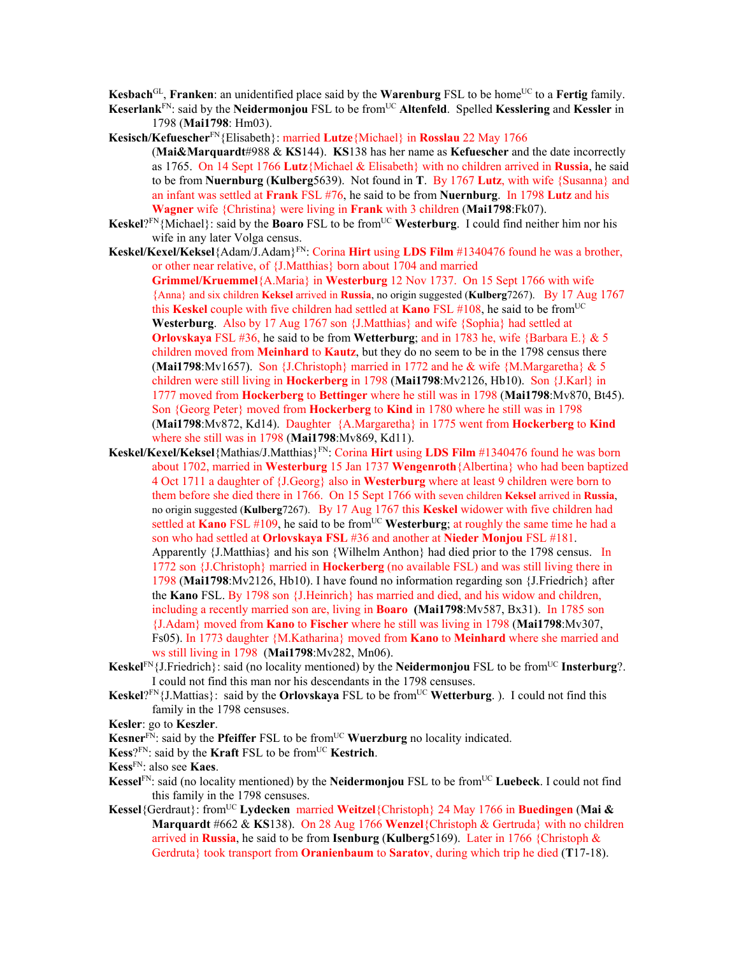**Kesbach**<sup>GL</sup>, **Franken**: an unidentified place said by the **Warenburg** FSL to be home<sup>UC</sup> to a **Fertig** family.

**Keserlank**FN: said by the **Neidermonjou** FSL to be fromUC **Altenfeld**. Spelled **Kesslering** and **Kessler** in 1798 (**Mai1798**: Hm03).

**Kesisch/Kefuescher**FN{Elisabeth}: married **Lutze**{Michael} in **Rosslau** 22 May 1766 (**Mai&Marquardt**#988 & **KS**144). **KS**138 has her name as **Kefuescher** and the date incorrectly as 1765. On 14 Sept 1766 **Lutz**{Michael & Elisabeth} with no children arrived in **Russia**, he said to be from **Nuernburg** (**Kulberg**5639). Not found in **T**. By 1767 **Lutz**, with wife {Susanna} and an infant was settled at **Frank** FSL #76, he said to be from **Nuernburg**. In 1798 **Lutz** and his **Wagner** wife {Christina} were living in **Frank** with 3 children (**Mai1798**:Fk07).

- **Keskel**? $F_N$ {Michael}: said by the **Boaro** FSL to be from<sup>UC</sup> Westerburg. I could find neither him nor his wife in any later Volga census.
- **Keskel/Kexel/Keksel**{Adam/J.Adam}FN: Corina **Hirt** using **LDS Film** #1340476 found he was a brother, or other near relative, of {J.Matthias} born about 1704 and married

**Grimmel/Kruemmel**{A.Maria} in **Westerburg** 12 Nov 1737. On 15 Sept 1766 with wife {Anna} and six children **Keksel** arrived in **Russia**, no origin suggested (**Kulberg**7267). By 17 Aug 1767 this **Keskel** couple with five children had settled at **Kano** FSL  $\#108$ , he said to be from<sup>UC</sup> **Westerburg**. Also by 17 Aug 1767 son {J.Matthias} and wife {Sophia} had settled at **Orlovskaya** FSL #36, he said to be from **Wetterburg**; and in 1783 he, wife {Barbara E.} & 5 children moved from **Meinhard** to **Kautz**, but they do no seem to be in the 1798 census there (**Mai1798**:Mv1657). Son {J.Christoph} married in 1772 and he  $\&$  wife {M.Margaretha}  $\& 5$ children were still living in **Hockerberg** in 1798 (**Mai1798**:Mv2126, Hb10). Son {J.Karl} in 1777 moved from **Hockerberg** to **Bettinger** where he still was in 1798 (**Mai1798**:Mv870, Bt45). Son {Georg Peter} moved from **Hockerberg** to **Kind** in 1780 where he still was in 1798 (**Mai1798**:Mv872, Kd14). Daughter {A.Margaretha} in 1775 went from **Hockerberg** to **Kind**  where she still was in 1798 (**Mai1798**:Mv869, Kd11).

- **Keskel/Kexel/Keksel**{Mathias/J.Matthias}FN: Corina **Hirt** using **LDS Film** #1340476 found he was born about 1702, married in **Westerburg** 15 Jan 1737 **Wengenroth**{Albertina} who had been baptized 4 Oct 1711 a daughter of {J.Georg} also in **Westerburg** where at least 9 children were born to them before she died there in 1766. On 15 Sept 1766 with seven children **Keksel** arrived in **Russia**, no origin suggested (**Kulberg**7267).By 17 Aug 1767 this **Keskel** widower with five children had settled at **Kano** FSL #109, he said to be from<sup>UC</sup> Westerburg; at roughly the same time he had a son who had settled at **Orlovskaya FSL** #36 and another at **Nieder Monjou** FSL #181. Apparently {J.Matthias} and his son {Wilhelm Anthon} had died prior to the 1798 census. In 1772 son {J.Christoph} married in **Hockerberg** (no available FSL) and was still living there in 1798 (**Mai1798**:Mv2126, Hb10). I have found no information regarding son {J.Friedrich} after the **Kano** FSL. By 1798 son {J.Heinrich} has married and died, and his widow and children, including a recently married son are, living in **Boaro (Mai1798**:Mv587, Bx31). In 1785 son {J.Adam} moved from **Kano** to **Fischer** where he still was living in 1798 (**Mai1798**:Mv307, Fs05). In 1773 daughter {M.Katharina} moved from **Kano** to **Meinhard** where she married and ws still living in 1798 (**Mai1798**:Mv282, Mn06).
- **Keskel**FN{J.Friedrich}: said (no locality mentioned) by the **Neidermonjou** FSL to be from<sup>UC</sup> **Insterburg**?. I could not find this man nor his descendants in the 1798 censuses.
- Keskel?<sup>FN</sup>{J.Mattias}: said by the **Orlovskaya** FSL to be from<sup>UC</sup> Wetterburg. ). I could not find this family in the 1798 censuses.
- **Kesler**: go to **Keszler**.

**Kesner**<sup>FN</sup>: said by the **Pfeiffer** FSL to be from<sup>UC</sup> **Wuerzburg** no locality indicated.

- **Kess**?FN: said by the **Kraft** FSL to be fromUC **Kestrich**.
- **Kess**FN: also see **Kaes**.
- **Kessel**<sup>FN</sup>: said (no locality mentioned) by the **Neidermonjou** FSL to be from<sup>UC</sup> Luebeck. I could not find this family in the 1798 censuses.
- **Kessel**{Gerdraut}: fromUC **Lydecken** married **Weitzel**{Christoph} 24 May 1766 in **Buedingen** (**Mai & Marquardt** #662 & **KS**138). On 28 Aug 1766 **Wenzel**{Christoph & Gertruda} with no children arrived in **Russia**, he said to be from **Isenburg** (**Kulberg**5169). Later in 1766 {Christoph & Gerdruta} took transport from **Oranienbaum** to **Saratov**, during which trip he died (**T**17-18).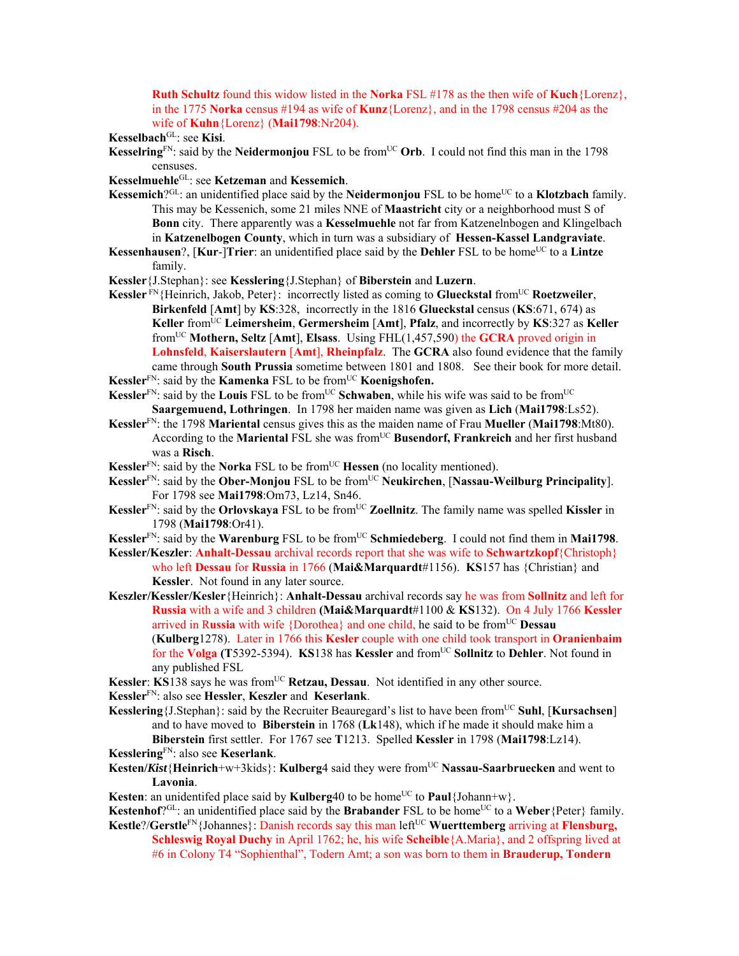**Ruth Schultz** found this widow listed in the **Norka** FSL #178 as the then wife of **Kuch**{Lorenz}, in the 1775 **Norka** census #194 as wife of **Kunz**{Lorenz}, and in the 1798 census #204 as the wife of **Kuhn**{Lorenz} (**Mai1798**:Nr204).

**Kesselbach**GL: see **Kisi**.

- **Kesselring**<sup>FN</sup>: said by the **Neidermonjou** FSL to be from<sup>UC</sup> Orb. I could not find this man in the 1798 censuses.
- **Kesselmuehle**GL: see **Ketzeman** and **Kessemich**.
- **Kessemich**?<sup>GL</sup>: an unidentified place said by the **Neidermonjou** FSL to be home<sup>UC</sup> to a **Klotzbach** family. This may be Kessenich, some 21 miles NNE of **Maastricht** city or a neighborhood must S of **Bonn** city. There apparently was a **Kesselmuehle** not far from Katzenelnbogen and Klingelbach in **Katzenelbogen County**, which in turn was a subsidiary of **Hessen-Kassel Landgraviate**.
- **Kessenhausen**?, [Kur-]Trier: an unidentified place said by the Dehler FSL to be home<sup>UC</sup> to a Lintze family.
- **Kessler**{J.Stephan}: see **Kesslering**{J.Stephan} of **Biberstein** and **Luzern**.
- **Kessler** FN{Heinrich, Jakob, Peter}: incorrectly listed as coming to **Glueckstal** from<sup>UC</sup> **Roetzweiler**, **Birkenfeld** [**Amt**] by **KS**:328, incorrectly in the 1816 **Glueckstal** census (**KS**:671, 674) as **Keller** fromUC **Leimersheim**, **Germersheim** [**Amt**], **Pfalz**, and incorrectly by **KS**:327 as **Keller**  fromUC **Mothern, Seltz** [**Amt**], **Elsass**. Using FHL(1,457,590) the **GCRA** proved origin in **Lohnsfeld**, **Kaiserslautern** [**Amt**], **Rheinpfalz**. The **GCRA** also found evidence that the family came through **South Prussia** sometime between 1801 and 1808. See their book for more detail.
- **Kessler**<sup>FN</sup>: said by the **Kamenka** FSL to be from<sup>UC</sup> **Koenigshofen.**
- **Kessler**<sup>FN</sup>: said by the **Louis** FSL to be from<sup>UC</sup> **Schwaben**, while his wife was said to be from<sup>UC</sup> **Saargemuend, Lothringen**. In 1798 her maiden name was given as **Lich** (**Mai1798**:Ls52).
- **Kessler**FN: the 1798 **Mariental** census gives this as the maiden name of Frau **Mueller** (**Mai1798**:Mt80). According to the **Mariental** FSL she was from<sup>UC</sup> Busendorf, Frankreich and her first husband was a **Risch**.
- **Kessler**<sup>FN</sup>: said by the **Norka** FSL to be from<sup>UC</sup> **Hessen** (no locality mentioned).
- **Kessler**<sup>FN</sup>: said by the **Ober-Monjou** FSL to be from<sup>UC</sup> **Neukirchen**, [**Nassau-Weilburg Principality**]. For 1798 see **Mai1798**:Om73, Lz14, Sn46.
- **Kessler**FN: said by the **Orlovskaya** FSL to be fromUC **Zoellnitz**. The family name was spelled **Kissler** in 1798 (**Mai1798**:Or41).

**Kessler**<sup>FN</sup>: said by the **Warenburg** FSL to be from<sup>UC</sup> **Schmiedeberg**. I could not find them in **Mai1798**.

- **Kessler/Keszler**: **Anhalt-Dessau** archival records report that she was wife to **Schwartzkopf**{Christoph} who left **Dessau** for **Russia** in 1766 (**Mai&Marquardt**#1156). **KS**157 has {Christian} and **Kessler**. Not found in any later source.
- **Keszler/Kessler/Kesler**{Heinrich}: **Anhalt-Dessau** archival records say he was from **Sollnitz** and left for **Russia** with a wife and 3 children **(Mai&Marquardt**#1100 & **KS**132). On 4 July 1766 **Kessler** arrived in Russia with wife {Dorothea} and one child, he said to be from<sup>UC</sup> Dessau (**Kulberg**1278).Later in 1766 this **Kesler** couple with one child took transport in **Oranienbaim**  for the **Volga (T**5392-5394). **KS**138 has **Kessler** and fromUC **Sollnitz** to **Dehler**. Not found in any published FSL
- **Kessler: KS138 says he was from<sup>UC</sup> Retzau, Dessau**. Not identified in any other source.
- **Kessler**FN: also see **Hessler**, **Keszler** and **Keserlank**.
- **Kesslering** {J.Stephan}: said by the Recruiter Beauregard's list to have been from<sup>UC</sup> Suhl, [Kursachsen] and to have moved to **Biberstein** in 1768 (**Lk**148), which if he made it should make him a **Biberstein** first settler. For 1767 see **T**1213. Spelled **Kessler** in 1798 (**Mai1798**:Lz14).
- **Kesslering**FN: also see **Keserlank**.
- **Kesten/***Kist*{**Heinrich**+w+3kids}: **Kulberg**4 said they were from<sup>UC</sup> Nassau-Saarbruecken and went to **Lavonia**.
- **Kesten**: an unidentifed place said by **Kulberg**40 to be home<sup>UC</sup> to **Paul**{Johann+w}.
- **Kestenhof**?GL: an unidentified place said by the **Brabander** FSL to be home<sup>UC</sup> to a **Weber**{Peter} family.
- **Kestle**?/*Gerstle***<sup>FN</sup>**{Johannes}: Danish records say this man left<sup>UC</sup> Wuerttemberg arriving at **Flensburg**, **Schleswig Royal Duchy** in April 1762; he, his wife **Scheible**{A.Maria}, and 2 offspring lived at #6 in Colony T4 "Sophienthal", Todern Amt; a son was born to them in **Brauderup, Tondern**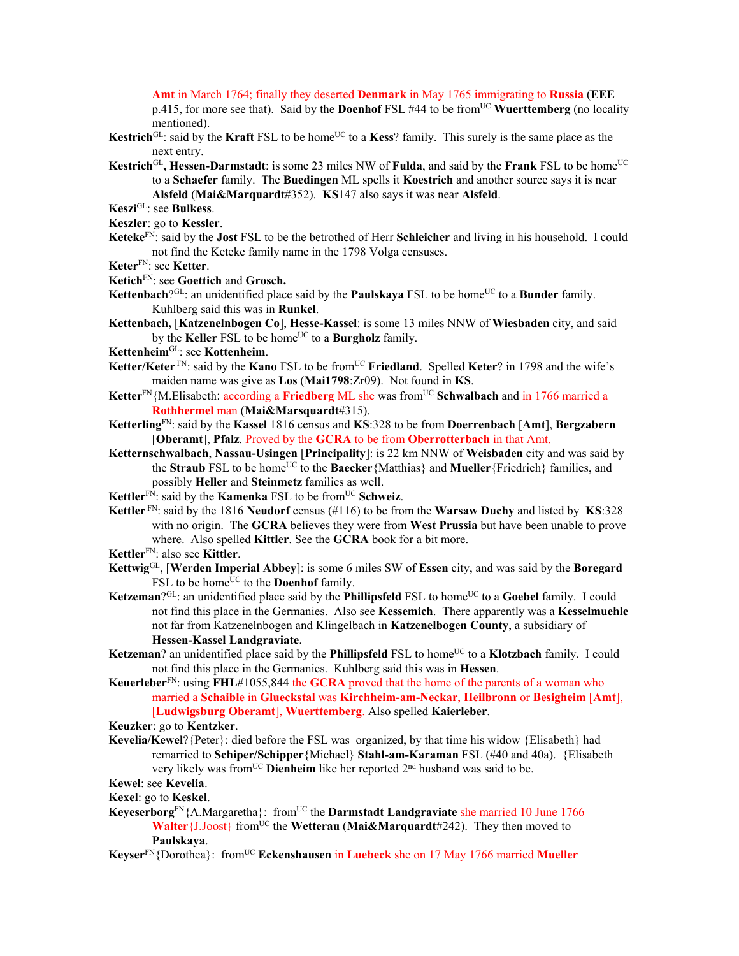**Amt** in March 1764; finally they deserted **Denmark** in May 1765 immigrating to **Russia** (**EEE**

p.415, for more see that). Said by the **Doenhof** FSL #44 to be from<sup>UC</sup> Wuerttemberg (no locality mentioned).

- **Kestrich**<sup>GL</sup>: said by the **Kraft** FSL to be home<sup>UC</sup> to a **Kess**? family. This surely is the same place as the next entry.
- Kestrich<sup>GL</sup>, Hessen-Darmstadt: is some 23 miles NW of **Fulda**, and said by the **Frank** FSL to be home<sup>UC</sup> to a **Schaefer** family. The **Buedingen** ML spells it **Koestrich** and another source says it is near **Alsfeld** (**Mai&Marquardt**#352). **KS**147 also says it was near **Alsfeld**.
- **Keszi**GL: see **Bulkess**.
- **Keszler**: go to **Kessler**.
- **Keteke**FN: said by the **Jost** FSL to be the betrothed of Herr **Schleicher** and living in his household. I could not find the Keteke family name in the 1798 Volga censuses.
- **Keter**FN: see **Ketter**.
- **Ketich**FN: see **Goettich** and **Grosch.**
- **Kettenbach**?<sup>GL</sup>: an unidentified place said by the **Paulskaya** FSL to be home<sup>UC</sup> to a **Bunder** family. Kuhlberg said this was in **Runkel**.

**Kettenbach,** [**Katzenelnbogen Co**], **Hesse-Kassel**: is some 13 miles NNW of **Wiesbaden** city, and said by the **Keller** FSL to be home<sup>UC</sup> to a **Burgholz** family.

- **Kettenheim**GL: see **Kottenheim**.
- **Ketter/Keter** FN: said by the **Kano** FSL to be from<sup>UC</sup> **Friedland**. Spelled **Keter**? in 1798 and the wife's maiden name was give as **Los** (**Mai1798**:Zr09). Not found in **KS**.
- **Ketter**FN{M.Elisabeth: according a **Friedberg** ML she was fromUC **Schwalbach** and in 1766 married a **Rothhermel** man (**Mai&Marsquardt**#315).
- **Ketterling**FN: said by the **Kassel** 1816 census and **KS**:328 to be from **Doerrenbach** [**Amt**], **Bergzabern** [**Oberamt**], **Pfalz**. Proved by the **GCRA** to be from **Oberrotterbach** in that Amt.
- **Ketternschwalbach**, **Nassau-Usingen** [**Principality**]: is 22 km NNW of **Weisbaden** city and was said by the **Straub** FSL to be home<sup>UC</sup> to the **Baecker**{Matthias} and **Mueller**{Friedrich} families, and possibly **Heller** and **Steinmetz** families as well.
- **Kettler**<sup>FN</sup>: said by the **Kamenka** FSL to be from<sup>UC</sup> **Schweiz**.
- **Kettler** FN: said by the 1816 **Neudorf** census (#116) to be from the **Warsaw Duchy** and listed by **KS**:328 with no origin. The **GCRA** believes they were from **West Prussia** but have been unable to prove where. Also spelled **Kittler**. See the **GCRA** book for a bit more.
- **Kettler**FN: also see **Kittler**.
- **Kettwig**GL, [**Werden Imperial Abbey**]: is some 6 miles SW of **Essen** city, and was said by the **Boregard** FSL to be home<sup>UC</sup> to the **Doenhof** family.
- Ketzeman<sup>?GL</sup>: an unidentified place said by the **Phillipsfeld** FSL to home<sup>UC</sup> to a Goebel family. I could not find this place in the Germanies. Also see **Kessemich**. There apparently was a **Kesselmuehle** not far from Katzenelnbogen and Klingelbach in **Katzenelbogen County**, a subsidiary of **Hessen-Kassel Landgraviate**.
- **Ketzeman**? an unidentified place said by the **Phillipsfeld** FSL to home<sup>UC</sup> to a **Klotzbach** family. I could not find this place in the Germanies. Kuhlberg said this was in **Hessen**.
- **Keuerleber**FN: using **FHL**#1055,844 the **GCRA** proved that the home of the parents of a woman who married a **Schaible** in **Glueckstal** was **Kirchheim-am-Neckar**, **Heilbronn** or **Besigheim** [**Amt**], [**Ludwigsburg Oberamt**], **Wuerttemberg**. Also spelled **Kaierleber**.

## **Keuzker**: go to **Kentzker**.

**Kevelia/Kewel**?{Peter}: died before the FSL was organized, by that time his widow {Elisabeth} had remarried to **Schiper/Schipper**{Michael} **Stahl-am-Karaman** FSL (#40 and 40a). {Elisabeth very likely was from<sup>UC</sup> **Dienheim** like her reported 2<sup>nd</sup> husband was said to be.

## **Kewel**: see **Kevelia**.

**Kexel**: go to **Keskel**.

- Keyeserborg<sup>FN</sup>{A.Margaretha}: from<sup>UC</sup> the **Darmstadt Landgraviate** she married 10 June 1766 **Walter**{J<sub>Joost}</sub> from<sup>UC</sup> the **Wetterau** (Mai&Marquardt#242). They then moved to **Paulskaya**.
- **Keyser**FN{Dorothea}: fromUC **Eckenshausen** in **Luebeck** she on 17 May 1766 married **Mueller**